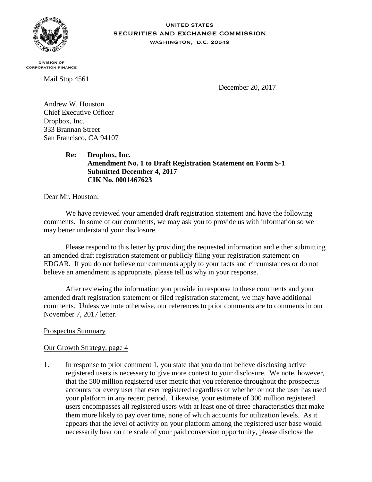

#### **UNITED STATES** SECURITIES AND EXCHANGE COMMISSION WASHINGTON, D.C. 20549

**DIVISION OF CORPORATION FINANCE** 

Mail Stop 4561

December 20, 2017

Andrew W. Houston Chief Executive Officer Dropbox, Inc. 333 Brannan Street San Francisco, CA 94107

> **Re: Dropbox, Inc. Amendment No. 1 to Draft Registration Statement on Form S-1 Submitted December 4, 2017 CIK No. 0001467623**

Dear Mr. Houston:

We have reviewed your amended draft registration statement and have the following comments. In some of our comments, we may ask you to provide us with information so we may better understand your disclosure.

Please respond to this letter by providing the requested information and either submitting an amended draft registration statement or publicly filing your registration statement on EDGAR. If you do not believe our comments apply to your facts and circumstances or do not believe an amendment is appropriate, please tell us why in your response.

After reviewing the information you provide in response to these comments and your amended draft registration statement or filed registration statement, we may have additional comments. Unless we note otherwise, our references to prior comments are to comments in our November 7, 2017 letter.

# Prospectus Summary

## Our Growth Strategy, page 4

1. In response to prior comment 1, you state that you do not believe disclosing active registered users is necessary to give more context to your disclosure. We note, however, that the 500 million registered user metric that you reference throughout the prospectus accounts for every user that ever registered regardless of whether or not the user has used your platform in any recent period. Likewise, your estimate of 300 million registered users encompasses all registered users with at least one of three characteristics that make them more likely to pay over time, none of which accounts for utilization levels. As it appears that the level of activity on your platform among the registered user base would necessarily bear on the scale of your paid conversion opportunity, please disclose the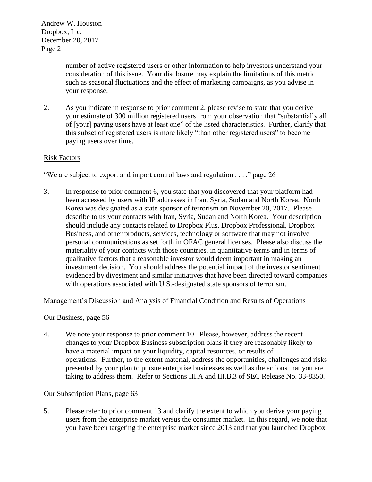Andrew W. Houston Dropbox, Inc. December 20, 2017 Page 2

> number of active registered users or other information to help investors understand your consideration of this issue. Your disclosure may explain the limitations of this metric such as seasonal fluctuations and the effect of marketing campaigns, as you advise in your response.

2. As you indicate in response to prior comment 2, please revise to state that you derive your estimate of 300 million registered users from your observation that "substantially all of [your] paying users have at least one" of the listed characteristics. Further, clarify that this subset of registered users is more likely "than other registered users" to become paying users over time.

# Risk Factors

## "We are subject to export and import control laws and regulation . . . ," page 26

3. In response to prior comment 6, you state that you discovered that your platform had been accessed by users with IP addresses in Iran, Syria, Sudan and North Korea. North Korea was designated as a state sponsor of terrorism on November 20, 2017. Please describe to us your contacts with Iran, Syria, Sudan and North Korea. Your description should include any contacts related to Dropbox Plus, Dropbox Professional, Dropbox Business, and other products, services, technology or software that may not involve personal communications as set forth in OFAC general licenses. Please also discuss the materiality of your contacts with those countries, in quantitative terms and in terms of qualitative factors that a reasonable investor would deem important in making an investment decision. You should address the potential impact of the investor sentiment evidenced by divestment and similar initiatives that have been directed toward companies with operations associated with U.S.-designated state sponsors of terrorism.

## Management's Discussion and Analysis of Financial Condition and Results of Operations

### Our Business, page 56

4. We note your response to prior comment 10. Please, however, address the recent changes to your Dropbox Business subscription plans if they are reasonably likely to have a material impact on your liquidity, capital resources, or results of operations. Further, to the extent material, address the opportunities, challenges and risks presented by your plan to pursue enterprise businesses as well as the actions that you are taking to address them. Refer to Sections III.A and III.B.3 of SEC Release No. 33-8350.

## Our Subscription Plans, page 63

5. Please refer to prior comment 13 and clarify the extent to which you derive your paying users from the enterprise market versus the consumer market. In this regard, we note that you have been targeting the enterprise market since 2013 and that you launched Dropbox